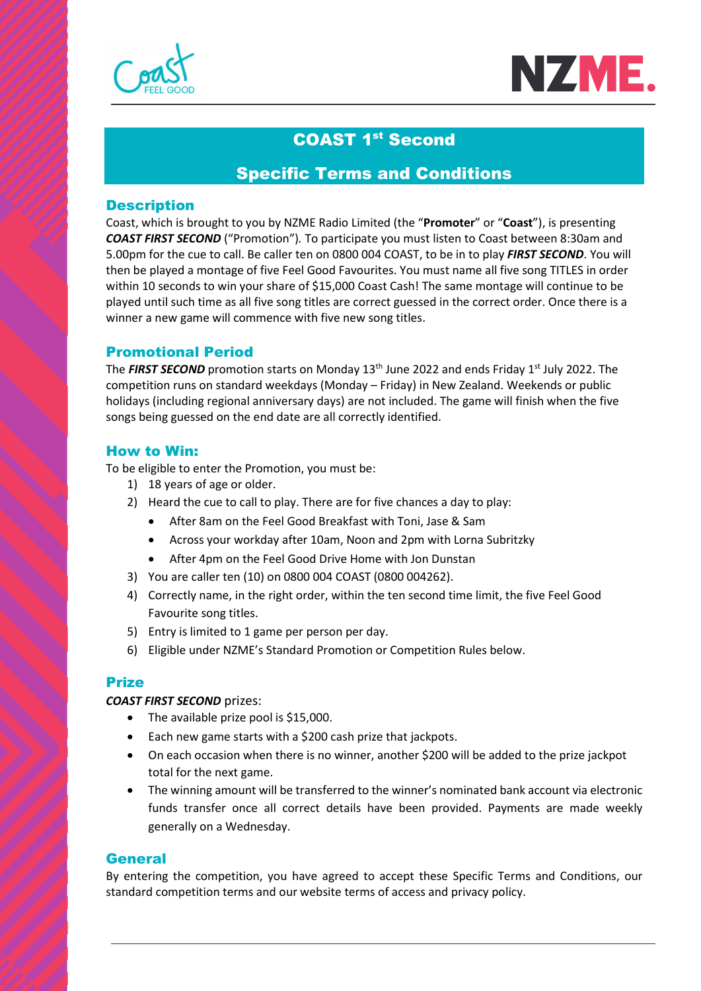



# COAST 1st Second

# Specific Terms and Conditions

## **Description**

Coast, which is brought to you by NZME Radio Limited (the "Promoter" or "Coast"), is presenting COAST FIRST SECOND ("Promotion"). To participate you must listen to Coast between 8:30am and 5.00pm for the cue to call. Be caller ten on 0800 004 COAST, to be in to play FIRST SECOND. You will then be played a montage of five Feel Good Favourites. You must name all five song TITLES in order within 10 seconds to win your share of \$15,000 Coast Cash! The same montage will continue to be played until such time as all five song titles are correct guessed in the correct order. Once there is a winner a new game will commence with five new song titles.

# Promotional Period

The FIRST SECOND promotion starts on Monday 13<sup>th</sup> June 2022 and ends Friday 1<sup>st</sup> July 2022. The competition runs on standard weekdays (Monday – Friday) in New Zealand. Weekends or public holidays (including regional anniversary days) are not included. The game will finish when the five songs being guessed on the end date are all correctly identified.

## How to Win:

To be eligible to enter the Promotion, you must be:

- 1) 18 years of age or older.
- 2) Heard the cue to call to play. There are for five chances a day to play:
	- After 8am on the Feel Good Breakfast with Toni, Jase & Sam
	- Across your workday after 10am, Noon and 2pm with Lorna Subritzky
	- After 4pm on the Feel Good Drive Home with Jon Dunstan
- 3) You are caller ten (10) on 0800 004 COAST (0800 004262).
- 4) Correctly name, in the right order, within the ten second time limit, the five Feel Good Favourite song titles.
- 5) Entry is limited to 1 game per person per day.
- 6) Eligible under NZME's Standard Promotion or Competition Rules below.

# Prize

## COAST FIRST SECOND prizes:

- The available prize pool is \$15,000.
- Each new game starts with a \$200 cash prize that jackpots.
- On each occasion when there is no winner, another \$200 will be added to the prize jackpot total for the next game.
- The winning amount will be transferred to the winner's nominated bank account via electronic funds transfer once all correct details have been provided. Payments are made weekly generally on a Wednesday.

## **General**

By entering the competition, you have agreed to accept these Specific Terms and Conditions, our standard competition terms and our website terms of access and privacy policy.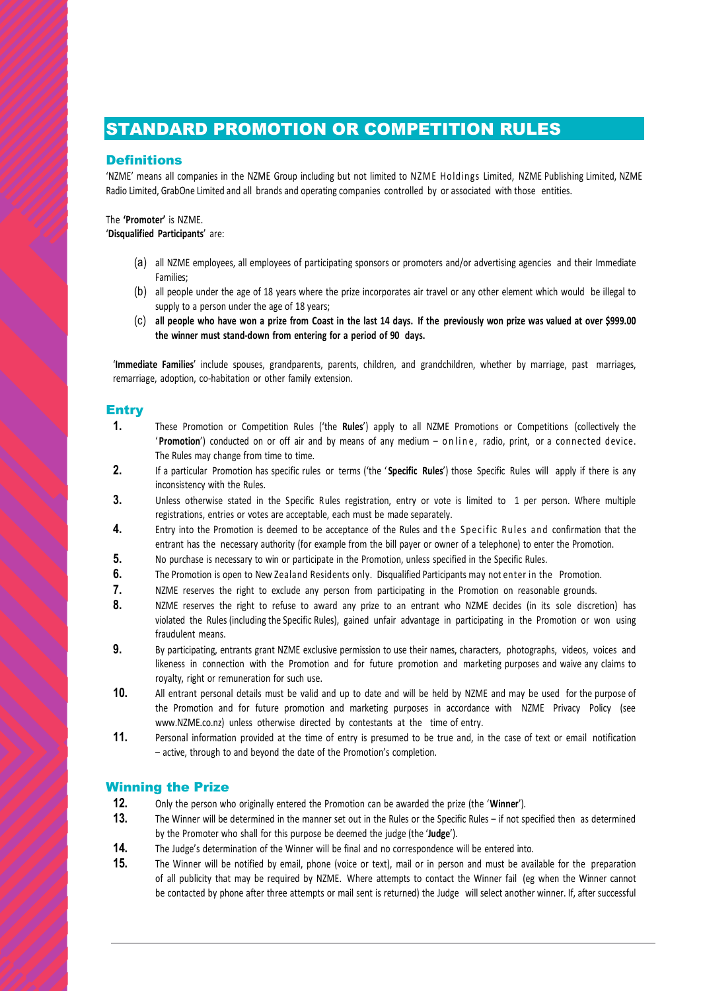# STANDARD PROMOTION OR COMPETITION RULES

### **Definitions**

**STANDARD PROMOTION OR COMPETITION RULES**<br>
NZME' means all companies in the NZME Group including but not limited to NZME Holdings Limited, NZME Publishing Limited, NZME<br>
Radio Limited, GrabOne Limited and all brands and op Radio Limited, GrabOne Limited and all brands and operating companies controlled by or associated with those entities.

#### The 'Promoter' is NZME. 'Disqualified Participants' are:

- (a) all NZME employees, all employees of participating sponsors or promoters and/or advertising agencies and their Immediate Families;
- (b) all people under the age of 18 years where the prize incorporates air travel or any other element which would be illegal to supply to a person under the age of 18 years;
- (c) all people who have won a prize from Coast in the last 14 days. If the previously won prize was valued at over \$999.00 the winner must stand-down from entering for a period of 90 days.

'Immediate Families' include spouses, grandparents, parents, children, and grandchildren, whether by marriage, past marriages, remarriage, adoption, co-habitation or other family extension.

### **Entry**

- **Notificial comparison the NZME Group including but not limited to NZME Holdings Limited, NZME Publishing Limited, NZME<br>
2010 Comparison and comparison of the NZME Group including but not limited to NZME Holdings Limited,** The Rules may change from time to time. 1. (a) a little may be entroportion is deemed to the Promotion is a may be the Promotion is a may be the Promotion is a may be the Promotion is deemed to the Promotion is dependent the Rules are specified to the Rules are
- 2. If a particular Promotion has specific rules or terms ('the 'Specific Rules') those Specific Rules will apply if there is any inconsistency with the Rules.
- 3. Unless otherwise stated in the Specific Rules registration, entry or vote is limited to 1 per person. Where multiple registrations, entries or votes are acceptable, each must be made separately.
- entrant has the necessary authority (for example from the bill payer or owner of a telephone) to enter the Promotion.
- 5. No purchase is necessary to win or participate in the Promotion, unless specified in the Specific Rules.
- 6. The Promotion is open to New Zealand Residents only. Disqualified Participants may not enter in the Promotion.
- 7. NZME reserves the right to exclude any person from participating in the Promotion on reasonable grounds.
- 8. NZME reserves the right to refuse to award any prize to an entrant who NZME decides (in its sole discretion) has violated the Rules (including the Specific Rules), gained unfair advantage in participating in the Promotion or won using fraudulent means.
- 9. By participating, entrants grant NZME exclusive permission to use their names, characters, photographs, videos, voices and likeness in connection with the Promotion and for future promotion and marketing purposes and waive any claims to royalty, right or remuneration for such use.
- 10. All entrant personal details must be valid and up to date and will be held by NZME and may be used for the purpose of the Promotion and for future promotion and marketing purposes in accordance with NZME Privacy Policy (see www.NZME.co.nz) unless otherwise directed by contestants at the time of entry.
- 11. Personal information provided at the time of entry is presumed to be true and, in the case of text or email notification – active, through to and beyond the date of the Promotion's completion.

### Winning the Prize

- 12. Only the person who originally entered the Promotion can be awarded the prize (the 'Winner').
- 13. The Winner will be determined in the manner set out in the Rules or the Specific Rules if not specified then as determined by the Promoter who shall for this purpose be deemed the judge (the 'Judge').
- 14. The Judge's determination of the Winner will be final and no correspondence will be entered into.
- 15. The Winner will be notified by email, phone (voice or text), mail or in person and must be available for the preparation of all publicity that may be required by NZME. Where attempts to contact the Winner fail (eg when the Winner cannot be contacted by phone after three attempts or mail sent is returned) the Judge will select another winner. If, after successful